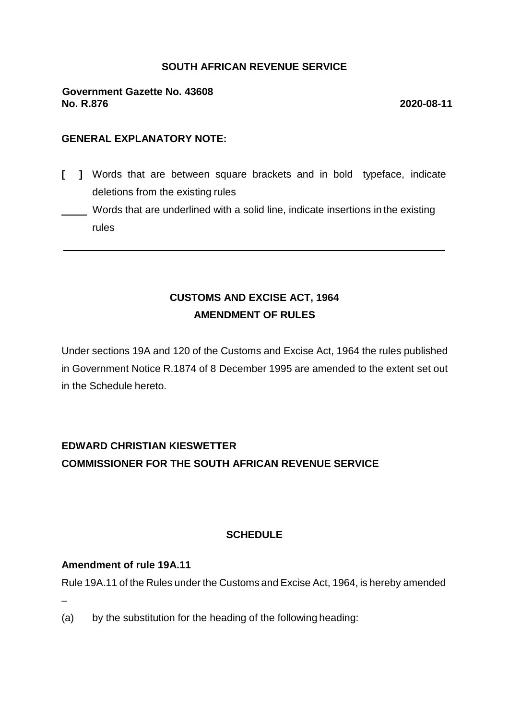### **SOUTH AFRICAN REVENUE SERVICE**

### **Government Gazette No. 43608 No. R.876 2020-08-11**

### **GENERAL EXPLANATORY NOTE:**

- **[ ]** Words that are between square brackets and in bold typeface, indicate deletions from the existing rules
- Words that are underlined with a solid line, indicate insertions in the existing rules

## **CUSTOMS AND EXCISE ACT, 1964 AMENDMENT OF RULES**

Under sections 19A and 120 of the Customs and Excise Act, 1964 the rules published in Government Notice R.1874 of 8 December 1995 are amended to the extent set out in the Schedule hereto.

# **EDWARD CHRISTIAN KIESWETTER COMMISSIONER FOR THE SOUTH AFRICAN REVENUE SERVICE**

### **SCHEDULE**

#### **Amendment of rule 19A.11**

Rule 19A.11 of the Rules under the Customs and Excise Act, 1964, is hereby amended

–

(a) by the substitution for the heading of the following heading: